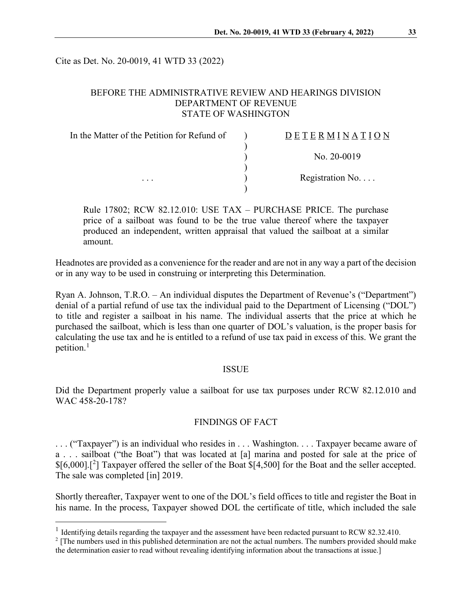Cite as Det. No. 20-0019, 41 WTD 33 (2022)

## BEFORE THE ADMINISTRATIVE REVIEW AND HEARINGS DIVISION DEPARTMENT OF REVENUE STATE OF WASHINGTON

| In the Matter of the Petition for Refund of | DETERMINATION            |
|---------------------------------------------|--------------------------|
|                                             | No. $20-0019$            |
|                                             |                          |
| $\cdots$                                    | Registration No. $\dots$ |
|                                             |                          |

Rule 17802; RCW 82.12.010: USE TAX – PURCHASE PRICE. The purchase price of a sailboat was found to be the true value thereof where the taxpayer produced an independent, written appraisal that valued the sailboat at a similar amount.

Headnotes are provided as a convenience for the reader and are not in any way a part of the decision or in any way to be used in construing or interpreting this Determination.

Ryan A. Johnson, T.R.O. – An individual disputes the Department of Revenue's ("Department") denial of a partial refund of use tax the individual paid to the Department of Licensing ("DOL") to title and register a sailboat in his name. The individual asserts that the price at which he purchased the sailboat, which is less than one quarter of DOL's valuation, is the proper basis for calculating the use tax and he is entitled to a refund of use tax paid in excess of this. We grant the petition.<sup>[1](#page-0-0)</sup>

#### **ISSUE**

Did the Department properly value a sailboat for use tax purposes under RCW 82.12.010 and WAC 458-20-178?

#### FINDINGS OF FACT

. . . ("Taxpayer") is an individual who resides in . . . Washington. . . . Taxpayer became aware of a . . . sailboat ("the Boat") that was located at [a] marina and posted for sale at the price of \$[6,000].[[2](#page-0-1) ] Taxpayer offered the seller of the Boat \$[4,500] for the Boat and the seller accepted. The sale was completed [in] 2019.

Shortly thereafter, Taxpayer went to one of the DOL's field offices to title and register the Boat in his name. In the process, Taxpayer showed DOL the certificate of title, which included the sale

<span id="page-0-0"></span><sup>&</sup>lt;sup>1</sup> Identifying details regarding the taxpayer and the assessment have been redacted pursuant to RCW 82.32.410.

<span id="page-0-1"></span><sup>&</sup>lt;sup>2</sup> [The numbers used in this published determination are not the actual numbers. The numbers provided should make the determination easier to read without revealing identifying information about the transactions at issue.]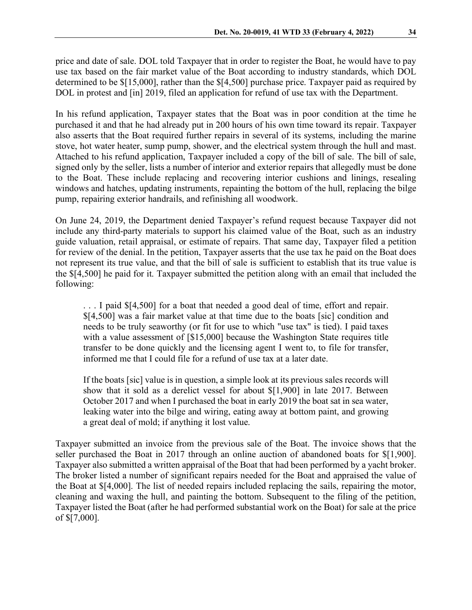price and date of sale. DOL told Taxpayer that in order to register the Boat, he would have to pay use tax based on the fair market value of the Boat according to industry standards, which DOL determined to be \$[15,000], rather than the \$[4,500] purchase price. Taxpayer paid as required by DOL in protest and [in] 2019, filed an application for refund of use tax with the Department.

In his refund application, Taxpayer states that the Boat was in poor condition at the time he purchased it and that he had already put in 200 hours of his own time toward its repair. Taxpayer also asserts that the Boat required further repairs in several of its systems, including the marine stove, hot water heater, sump pump, shower, and the electrical system through the hull and mast. Attached to his refund application, Taxpayer included a copy of the bill of sale. The bill of sale, signed only by the seller, lists a number of interior and exterior repairs that allegedly must be done to the Boat. These include replacing and recovering interior cushions and linings, resealing windows and hatches, updating instruments, repainting the bottom of the hull, replacing the bilge pump, repairing exterior handrails, and refinishing all woodwork.

On June 24, 2019, the Department denied Taxpayer's refund request because Taxpayer did not include any third-party materials to support his claimed value of the Boat, such as an industry guide valuation, retail appraisal, or estimate of repairs. That same day, Taxpayer filed a petition for review of the denial. In the petition, Taxpayer asserts that the use tax he paid on the Boat does not represent its true value, and that the bill of sale is sufficient to establish that its true value is the \$[4,500] he paid for it. Taxpayer submitted the petition along with an email that included the following:

. . . I paid \$[4,500] for a boat that needed a good deal of time, effort and repair. \$[4,500] was a fair market value at that time due to the boats [sic] condition and needs to be truly seaworthy (or fit for use to which "use tax" is tied). I paid taxes with a value assessment of [\$15,000] because the Washington State requires title transfer to be done quickly and the licensing agent I went to, to file for transfer, informed me that I could file for a refund of use tax at a later date.

If the boats [sic] value is in question, a simple look at its previous sales records will show that it sold as a derelict vessel for about \$[1,900] in late 2017. Between October 2017 and when I purchased the boat in early 2019 the boat sat in sea water, leaking water into the bilge and wiring, eating away at bottom paint, and growing a great deal of mold; if anything it lost value.

Taxpayer submitted an invoice from the previous sale of the Boat. The invoice shows that the seller purchased the Boat in 2017 through an online auction of abandoned boats for \$[1,900]. Taxpayer also submitted a written appraisal of the Boat that had been performed by a yacht broker. The broker listed a number of significant repairs needed for the Boat and appraised the value of the Boat at \$[4,000]. The list of needed repairs included replacing the sails, repairing the motor, cleaning and waxing the hull, and painting the bottom. Subsequent to the filing of the petition, Taxpayer listed the Boat (after he had performed substantial work on the Boat) for sale at the price of \$[7,000].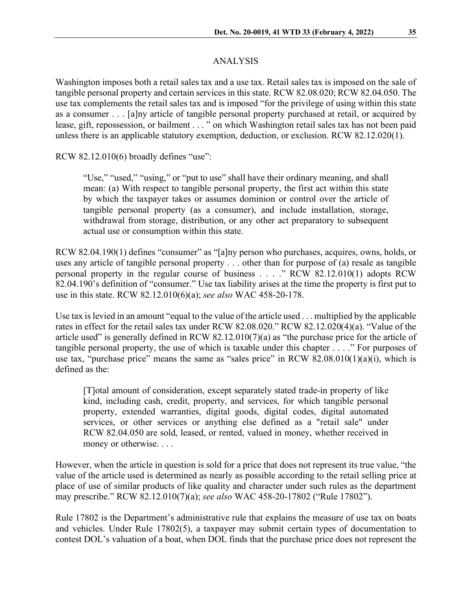### ANALYSIS

Washington imposes both a retail sales tax and a use tax. Retail sales tax is imposed on the sale of tangible personal property and certain services in this state. RCW 82.08.020; RCW 82.04.050. The use tax complements the retail sales tax and is imposed "for the privilege of using within this state as a consumer . . . [a]ny article of tangible personal property purchased at retail, or acquired by lease, gift, repossession, or bailment . . . " on which Washington retail sales tax has not been paid unless there is an applicable statutory exemption, deduction, or exclusion. RCW 82.12.020(1).

RCW 82.12.010(6) broadly defines "use":

"Use," "used," "using," or "put to use" shall have their ordinary meaning, and shall mean: (a) With respect to tangible personal property, the first act within this state by which the taxpayer takes or assumes dominion or control over the article of tangible personal property (as a consumer), and include installation, storage, withdrawal from storage, distribution, or any other act preparatory to subsequent actual use or consumption within this state.

RCW 82.04.190(1) defines "consumer" as "[a]ny person who purchases, acquires, owns, holds, or uses any article of tangible personal property . . . other than for purpose of (a) resale as tangible personal property in the regular course of business . . . ." RCW 82.12.010(1) adopts RCW 82.04.190's definition of "consumer." Use tax liability arises at the time the property is first put to use in this state. RCW 82.12.010(6)(a); *see also* WAC 458-20-178.

Use tax is levied in an amount "equal to the value of the article used . . . multiplied by the applicable rates in effect for the retail sales tax under RCW [82.08.020.](http://app.leg.wa.gov/RCW/default.aspx?cite=82.08.020)" RCW 82.12.020(4)(a). "Value of the article used" is generally defined in RCW 82.12.010(7)(a) as "the purchase price for the article of tangible personal property, the use of which is taxable under this chapter . . . ." For purposes of use tax, "purchase price" means the same as "sales price" in RCW  $82.08.010(1)(a)(i)$ , which is defined as the:

[T]otal amount of consideration, except separately stated trade-in property of like kind, including cash, credit, property, and services, for which tangible personal property, extended warranties, digital goods, digital codes, digital automated services, or other services or anything else defined as a "retail sale" under RCW [82.04.050](http://app.leg.wa.gov/RCW/default.aspx?cite=82.04.050) are sold, leased, or rented, valued in money, whether received in money or otherwise. . . .

However, when the article in question is sold for a price that does not represent its true value, "the value of the article used is determined as nearly as possible according to the retail selling price at place of use of similar products of like quality and character under such rules as the department may prescribe." RCW 82.12.010(7)(a); *see also* WAC 458-20-17802 ("Rule 17802").

Rule 17802 is the Department's administrative rule that explains the measure of use tax on boats and vehicles. Under Rule 17802(5), a taxpayer may submit certain types of documentation to contest DOL's valuation of a boat, when DOL finds that the purchase price does not represent the